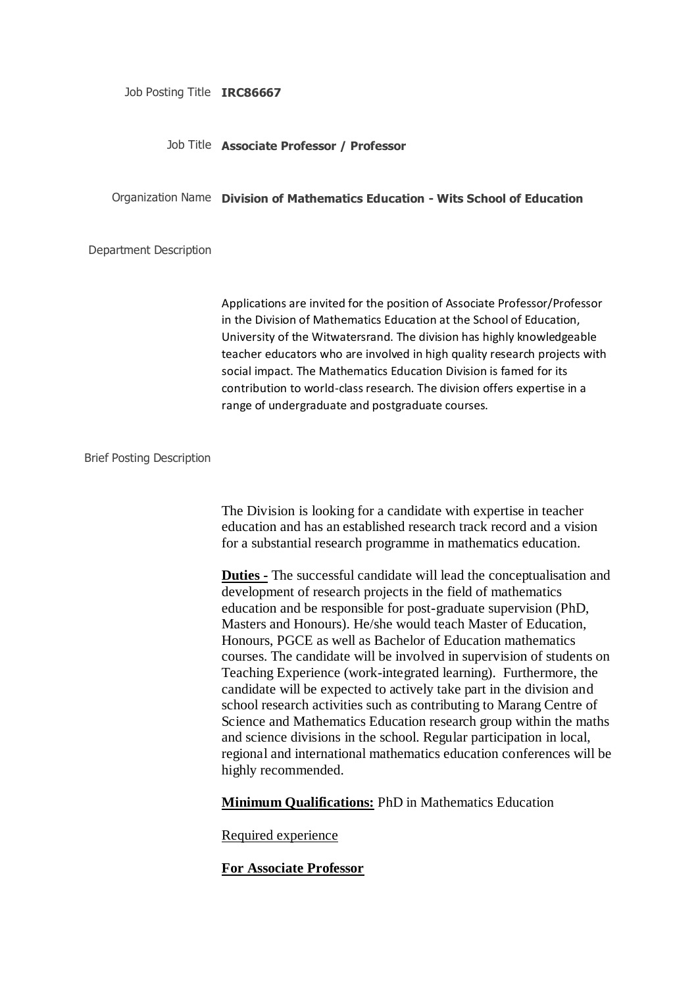Job Posting Title **IRC86667**

#### Job Title **Associate Professor / Professor**

#### Organization Name **Division of Mathematics Education - Wits School of Education**

Department Description

Applications are invited for the position of Associate Professor/Professor in the Division of Mathematics Education at the School of Education, University of the Witwatersrand. The division has highly knowledgeable teacher educators who are involved in high quality research projects with social impact. The Mathematics Education Division is famed for its contribution to world-class research. The division offers expertise in a range of undergraduate and postgraduate courses.

Brief Posting Description

The Division is looking for a candidate with expertise in teacher education and has an established research track record and a vision for a substantial research programme in mathematics education.

**Duties -** The successful candidate will lead the conceptualisation and development of research projects in the field of mathematics education and be responsible for post-graduate supervision (PhD, Masters and Honours). He/she would teach Master of Education, Honours, PGCE as well as Bachelor of Education mathematics courses. The candidate will be involved in supervision of students on Teaching Experience (work-integrated learning). Furthermore, the candidate will be expected to actively take part in the division and school research activities such as contributing to Marang Centre of Science and Mathematics Education research group within the maths and science divisions in the school. Regular participation in local, regional and international mathematics education conferences will be highly recommended.

**Minimum Qualifications:** PhD in Mathematics Education

Required experience

**For Associate Professor**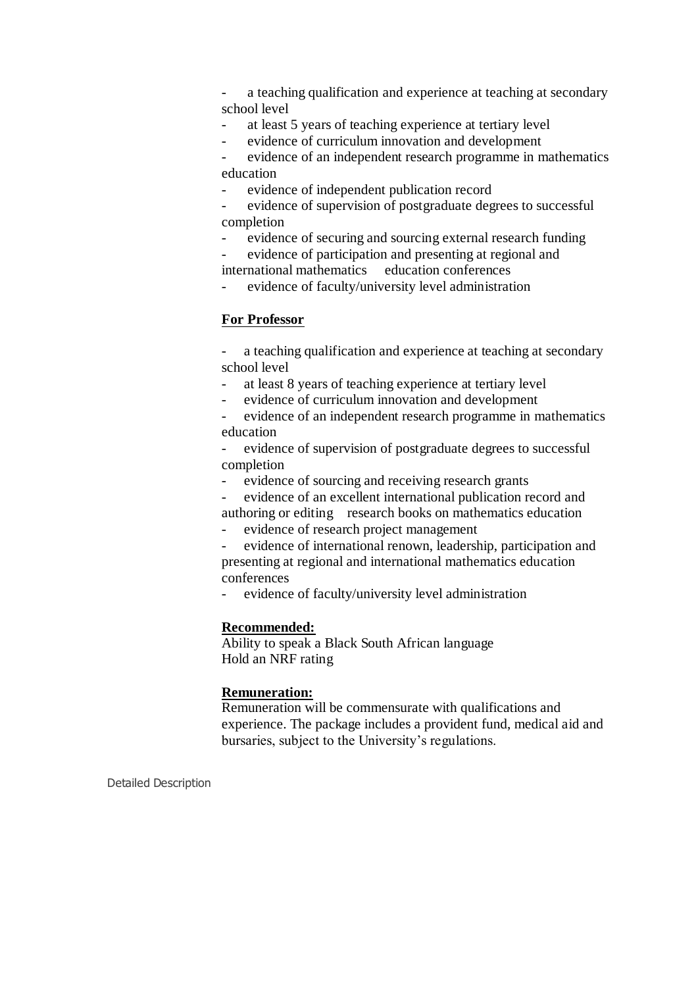a teaching qualification and experience at teaching at secondary school level

at least 5 years of teaching experience at tertiary level

- evidence of curriculum innovation and development

- evidence of an independent research programme in mathematics education

evidence of independent publication record

evidence of supervision of postgraduate degrees to successful completion

evidence of securing and sourcing external research funding

- evidence of participation and presenting at regional and international mathematics education conferences

evidence of faculty/university level administration

## **For Professor**

- a teaching qualification and experience at teaching at secondary school level

- at least 8 years of teaching experience at tertiary level

evidence of curriculum innovation and development

- evidence of an independent research programme in mathematics education

- evidence of supervision of postgraduate degrees to successful completion

evidence of sourcing and receiving research grants

- evidence of an excellent international publication record and authoring or editing research books on mathematics education

- evidence of research project management

- evidence of international renown, leadership, participation and presenting at regional and international mathematics education conferences

evidence of faculty/university level administration

## **Recommended:**

Ability to speak a Black South African language Hold an NRF rating

## **Remuneration:**

Remuneration will be commensurate with qualifications and experience. The package includes a provident fund, medical aid and bursaries, subject to the University's regulations.

Detailed Description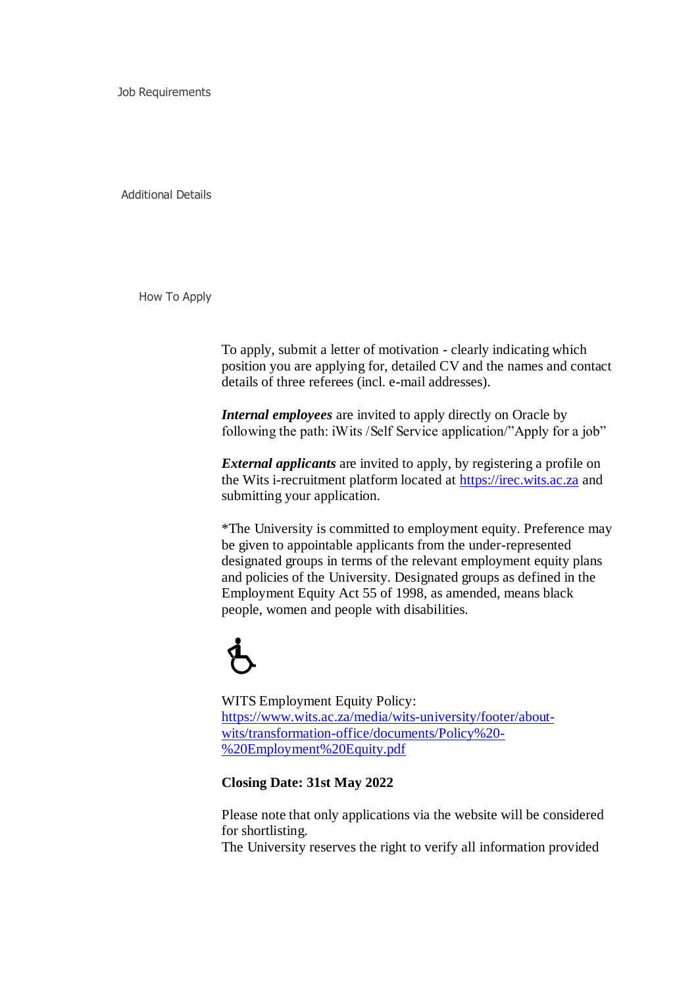Job Requirements

Additional Details

How To Apply

To apply, submit a letter of motivation - clearly indicating which position you are applying for, detailed CV and the names and contact details of three referees (incl. e-mail addresses).

*Internal employees* are invited to apply directly on Oracle by following the path: iWits /Self Service application/"Apply for a job"

*External applicants* are invited to apply, by registering a profile on the Wits i-recruitment platform located at [https://irec.wits.ac.za](javascript:_submitNav() and submitting your application.

\*The University is committed to employment equity. Preference may be given to appointable applicants from the under-represented designated groups in terms of the relevant employment equity plans and policies of the University. Designated groups as defined in the Employment Equity Act 55 of 1998, as amended, means black people, women and people with disabilities.

# $\dot{\mathbf{b}}$

WITS Employment Equity Policy: [https://www.wits.ac.za/media/wits-university/footer/about](javascript:_submitNav()[wits/transformation-office/documents/Policy%20-](javascript:_submitNav() [%20Employment%20Equity.pdf](javascript:_submitNav()

**Closing Date: 31st May 2022**

Please note that only applications via the website will be considered for shortlisting.

The University reserves the right to verify all information provided